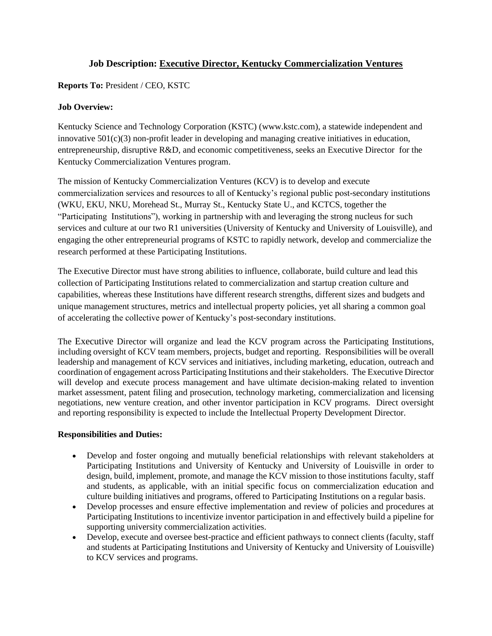# **Job Description: Executive Director, Kentucky Commercialization Ventures**

## **Reports To:** President / CEO, KSTC

### **Job Overview:**

Kentucky Science and Technology Corporation (KSTC) [\(www.kstc.com\)](http://www.kstc.com/), a statewide independent and innovative  $501(c)(3)$  non-profit leader in developing and managing creative initiatives in education, entrepreneurship, disruptive R&D, and economic competitiveness, seeks an Executive Director for the Kentucky Commercialization Ventures program.

The mission of Kentucky Commercialization Ventures (KCV) is to develop and execute commercialization services and resources to all of Kentucky's regional public post-secondary institutions (WKU, EKU, NKU, Morehead St., Murray St., Kentucky State U., and KCTCS, together the "Participating Institutions"), working in partnership with and leveraging the strong nucleus for such services and culture at our two R1 universities (University of Kentucky and University of Louisville), and engaging the other entrepreneurial programs of KSTC to rapidly network, develop and commercialize the research performed at these Participating Institutions.

The Executive Director must have strong abilities to influence, collaborate, build culture and lead this collection of Participating Institutions related to commercialization and startup creation culture and capabilities, whereas these Institutions have different research strengths, different sizes and budgets and unique management structures, metrics and intellectual property policies, yet all sharing a common goal of accelerating the collective power of Kentucky's post-secondary institutions.

The Executive Director will organize and lead the KCV program across the Participating Institutions, including oversight of KCV team members, projects, budget and reporting. Responsibilities will be overall leadership and management of KCV services and initiatives, including marketing, education, outreach and coordination of engagement across Participating Institutions and their stakeholders. The Executive Director will develop and execute process management and have ultimate decision-making related to invention market assessment, patent filing and prosecution, technology marketing, commercialization and licensing negotiations, new venture creation, and other inventor participation in KCV programs. Direct oversight and reporting responsibility is expected to include the Intellectual Property Development Director.

#### **Responsibilities and Duties:**

- Develop and foster ongoing and mutually beneficial relationships with relevant stakeholders at Participating Institutions and University of Kentucky and University of Louisville in order to design, build, implement, promote, and manage the KCV mission to those institutions faculty, staff and students, as applicable, with an initial specific focus on commercialization education and culture building initiatives and programs, offered to Participating Institutions on a regular basis.
- Develop processes and ensure effective implementation and review of policies and procedures at Participating Institutions to incentivize inventor participation in and effectively build a pipeline for supporting university commercialization activities.
- Develop, execute and oversee best-practice and efficient pathways to connect clients (faculty, staff and students at Participating Institutions and University of Kentucky and University of Louisville) to KCV services and programs.